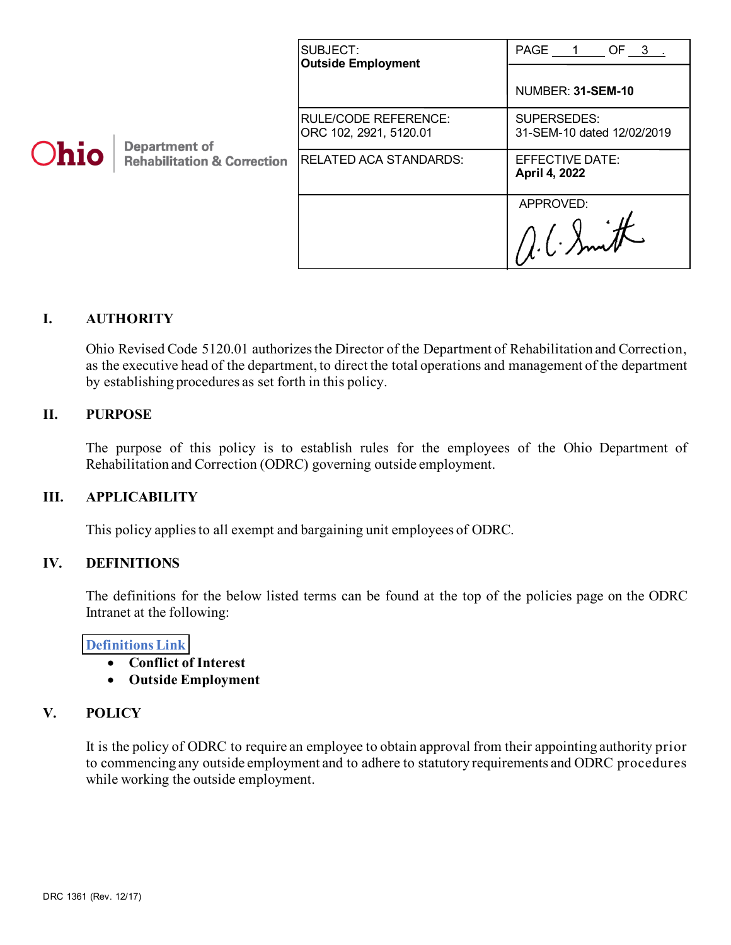| Ohio | <b>Department of</b><br><b>Rehabilitation &amp; Correction</b> | SUBJECT:<br><b>Outside Employment</b>                 | PAGE 1<br>OF 3.                           |
|------|----------------------------------------------------------------|-------------------------------------------------------|-------------------------------------------|
|      |                                                                |                                                       | NUMBER: 31-SEM-10                         |
|      |                                                                | <b>RULE/CODE REFERENCE:</b><br>ORC 102, 2921, 5120.01 | SUPERSEDES:<br>31-SEM-10 dated 12/02/2019 |
|      |                                                                | <b>RELATED ACA STANDARDS:</b>                         | EFFECTIVE DATE:<br>April 4, 2022          |
|      |                                                                |                                                       | APPROVED:                                 |
|      |                                                                |                                                       | 1/1. C. Smith                             |

# **I. AUTHORITY**

Ohio Revised Code 5120.01 authorizes the Director of the Department of Rehabilitation and Correction, as the executive head of the department, to direct the total operations and management of the department by establishing procedures as set forth in this policy.

### **II. PURPOSE**

The purpose of this policy is to establish rules for the employees of the Ohio Department of Rehabilitation and Correction (ODRC) governing outside employment.

### **III. APPLICABILITY**

This policy applies to all exempt and bargaining unit employees of ODRC.

### **IV. DEFINITIONS**

The definitions for the below listed terms can be found at the top of the policies page on the ODRC Intranet at the following:

#### **[Definitions Link](http://intra/policies/pagecontent/files/Policy%20Definition%20Spreadsheet%20-%20Intranet%202021.pdf)**

- **Conflict of Interest**
- **Outside Employment**

### **V. POLICY**

It is the policy of ODRC to require an employee to obtain approval from their appointing authority prior to commencing any outside employment and to adhere to statutory requirements and ODRC procedures while working the outside employment.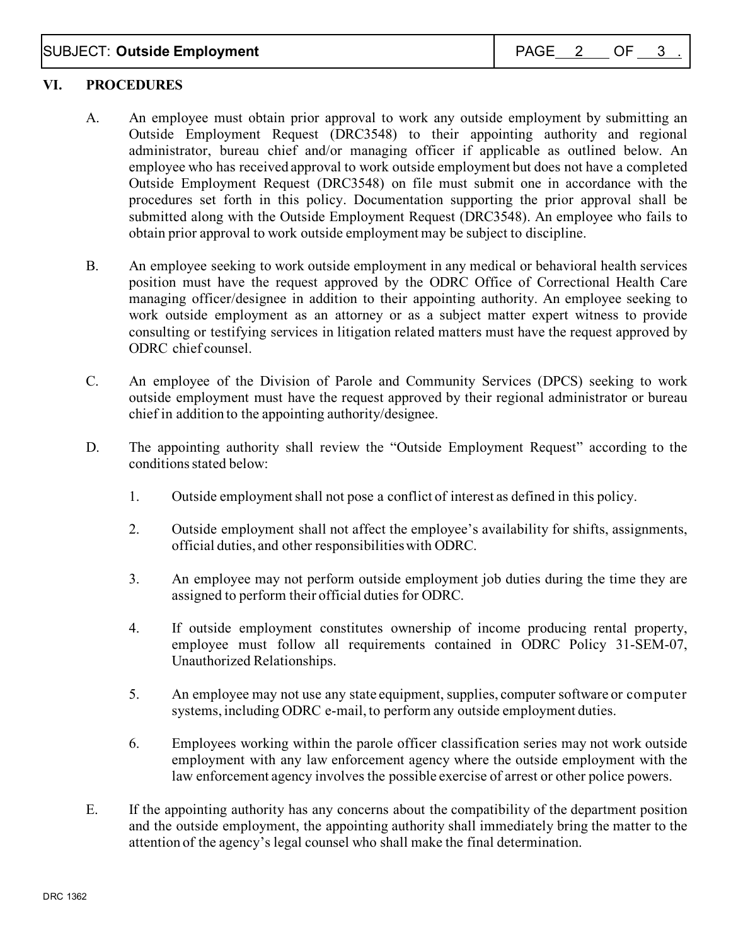# SUBJECT: **Outside Employment**  $\begin{array}{|c|c|c|c|c|}\n\hline\n\text{SUBJECT: } \textbf{Outside Employment} & \text{PAGE} & \text{2} & \text{OF} & \text{3} \\
\hline\n\end{array}$

### **VI. PROCEDURES**

- A. An employee must obtain prior approval to work any outside employment by submitting an Outside Employment Request (DRC3548) to their appointing authority and regional administrator, bureau chief and/or managing officer if applicable as outlined below. An employee who has received approval to work outside employment but does not have a completed Outside Employment Request (DRC3548) on file must submit one in accordance with the procedures set forth in this policy. Documentation supporting the prior approval shall be submitted along with the Outside Employment Request (DRC3548). An employee who fails to obtain prior approval to work outside employment may be subject to discipline.
- B. An employee seeking to work outside employment in any medical or behavioral health services position must have the request approved by the ODRC Office of Correctional Health Care managing officer/designee in addition to their appointing authority. An employee seeking to work outside employment as an attorney or as a subject matter expert witness to provide consulting or testifying services in litigation related matters must have the request approved by ODRC chief counsel.
- C. An employee of the Division of Parole and Community Services (DPCS) seeking to work outside employment must have the request approved by their regional administrator or bureau chief in addition to the appointing authority/designee.
- D. The appointing authority shall review the "Outside Employment Request" according to the conditions stated below:
	- 1. Outside employment shall not pose a conflict of interest as defined in this policy.
	- 2. Outside employment shall not affect the employee's availability for shifts, assignments, official duties, and other responsibilitieswith ODRC.
	- 3. An employee may not perform outside employment job duties during the time they are assigned to perform their official duties for ODRC.
	- 4. If outside employment constitutes ownership of income producing rental property, employee must follow all requirements contained in ODRC Policy 31-SEM-07, Unauthorized Relationships.
	- 5. An employee may not use any state equipment, supplies, computer software or computer systems, including ODRC e-mail, to perform any outside employment duties.
	- 6. Employees working within the parole officer classification series may not work outside employment with any law enforcement agency where the outside employment with the law enforcement agency involves the possible exercise of arrest or other police powers.
- E. If the appointing authority has any concerns about the compatibility of the department position and the outside employment, the appointing authority shall immediately bring the matter to the attention of the agency's legal counsel who shall make the final determination.